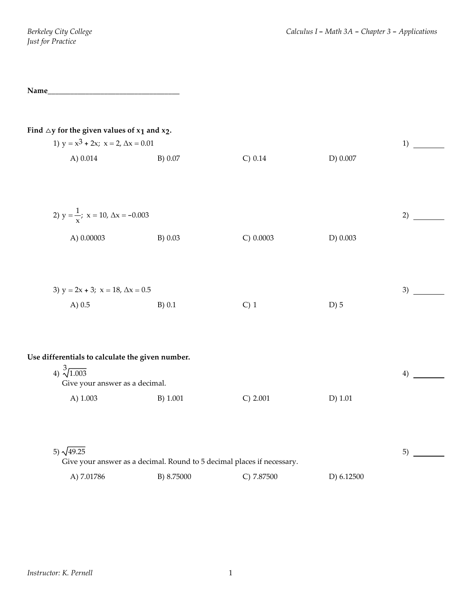| <b>Name</b> |  |  |
|-------------|--|--|
| $\cdots$    |  |  |

| Find $\triangle$ y for the given values of $x_1$ and $x_2$ .<br>1) $y = x^3 + 2x$ ; $x = 2$ , $\Delta x = 0.01$        |          |                                                                        |           | 1) |
|------------------------------------------------------------------------------------------------------------------------|----------|------------------------------------------------------------------------|-----------|----|
| A) 0.014                                                                                                               | B) 0.07  | C) 0.14                                                                | D) 0.007  |    |
| 2) $y = \frac{1}{x}$ ; $x = 10$ , $\Delta x = -0.003$<br>A) 0.00003                                                    | B) 0.03  | C) 0.0003                                                              | D) 0.003  | 2) |
| 3) $y = 2x + 3$ ; $x = 18$ , $\Delta x = 0.5$<br>A $) 0.5 $                                                            | $B)$ 0.1 | $C)$ 1                                                                 | $D)$ 5    | 3) |
| Use differentials to calculate the given number.<br>4) $\sqrt[3]{1.003}$<br>Give your answer as a decimal.<br>A) 1.003 | B) 1.001 | C) 2.001                                                               | $D)$ 1.01 | 4) |
| 5) $\sqrt{49.25}$                                                                                                      |          | Give your answer as a decimal. Round to 5 decimal places if necessary. |           | 5) |

A) 7.01786 B) 8.75000 C) 7.87500 D) 6.12500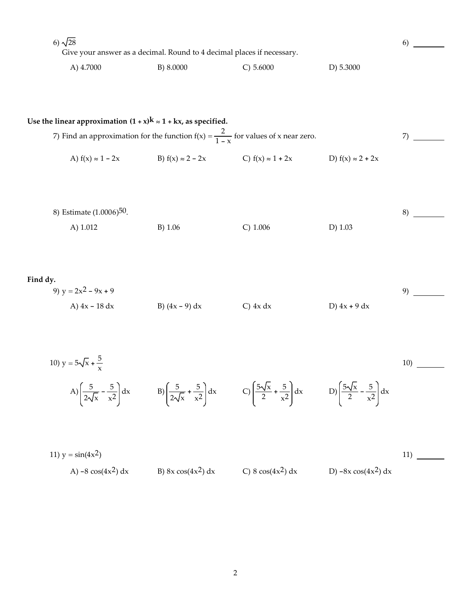6)  $\sqrt{28}$ Give your answer as a decimal. Round to 4 decimal places if necessary. A) 4.7000 B) 8.0000 B) 8.0000 C) 5.6000 D) 5.3000 6) Use the linear approximation  $(1 + x)$ **k**  $\approx$  1 + **kx**, as specified. 7) Find an approximation for the function  $f(x) = \frac{2}{1-x}$  for values of x near zero. A)  $f(x) \approx 1 - 2x$  B)  $f(x) \approx 2 - 2x$  C)  $f(x) \approx 1 + 2x$  D)  $f(x) \approx 2 + 2x$ 7) 8) Estimate (1.0006)50. A) 1.012 B) 1.06 C) 1.006 D) 1.03 8) **Find dy.** 9)  $y = 2x^2 - 9x + 9$ A)  $4x - 18 dx$  B)  $(4x - 9) dx$  C)  $4x dx$  D)  $4x + 9 dx$ 9) 10)  $y = 5\sqrt{x} + \frac{5}{x}$ A)  $\left(\frac{5}{2\sqrt{x}} - \frac{5}{x^2}\right) dx$  B)  $\left(\frac{5}{2\sqrt{x}} + \frac{5}{x^2}\right) dx$  C)  $\left(\frac{5\sqrt{x}}{2} + \frac{5}{x^2}\right) dx$  D)  $\left(\frac{5\sqrt{x}}{2} - \frac{5}{x^2}\right) dx$ 10) 11)  $y = \sin(4x^2)$ A)  $-8 \cos(4x^2) dx$  B)  $8x \cos(4x^2) dx$  C)  $8 \cos(4x^2) dx$  D)  $-8x \cos(4x^2) dx$ 11)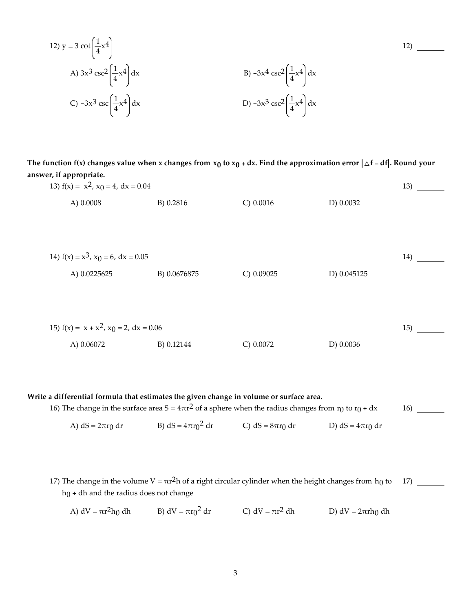12) 
$$
y = 3 \cot \left(\frac{1}{4}x^4\right)
$$
  
\nA)  $3x^3 \csc^2 \left(\frac{1}{4}x^4\right) dx$   
\nB)  $-3x^4 \csc^2 \left(\frac{1}{4}x^4\right) dx$   
\nC)  $-3x^3 \csc \left(\frac{1}{4}x^4\right) dx$   
\nD)  $-3x^3 \csc^2 \left(\frac{1}{4}x^4\right) dx$ 

The function f(x) changes value when x changes from  $x_0$  to  $x_0 + dx$ . Find the approximation error  $|\triangle f - df|$ . Round your **answer, if appropriate.**

| 13) $f(x) = x^2$ , $x_0 = 4$ , $dx = 0.04$     |              |             |             | 13) |
|------------------------------------------------|--------------|-------------|-------------|-----|
| A) 0.0008                                      | B) 0.2816    | $C)$ 0.0016 | D) 0.0032   |     |
|                                                |              |             |             |     |
|                                                |              |             |             |     |
|                                                |              |             |             |     |
| 14) $f(x) = x^3$ , $x_0 = 6$ , $dx = 0.05$     |              |             |             | 14) |
| A) 0.0225625                                   | B) 0.0676875 | C) 0.09025  | D) 0.045125 |     |
|                                                |              |             |             |     |
|                                                |              |             |             |     |
|                                                |              |             |             |     |
| 15) $f(x) = x + x^2$ , $x_0 = 2$ , $dx = 0.06$ |              |             |             | 15) |
| A) 0.06072                                     | B) 0.12144   | C) 0.0072   | D) 0.0036   |     |
|                                                |              |             |             |     |
|                                                |              |             |             |     |

**Write a differential formula that estimates the given change in volume or surface area.** 16) The change in the surface area  $S = 4\pi r^2$  of a sphere when the radius changes from  $r_0$  to  $r_0 + dx$ A) dS =  $2\pi r_0$  dr B) dS =  $4\pi r_0^2$  dr C) dS =  $8\pi r_0$  dr D) dS =  $4\pi r_0$  dr 16)

17) The change in the volume  $V = \pi r^2 h$  of a right circular cylinder when the height changes from h<sub>0</sub> to  $h_0$  + dh and the radius does not change 17)

A)  $dV = \pi r^2 h_0 dh$  B)  $dV = \pi r_0^2 dr$  C)  $dV = \pi r^2 dh$  D)  $dV = 2\pi rh_0 dh$ 

12)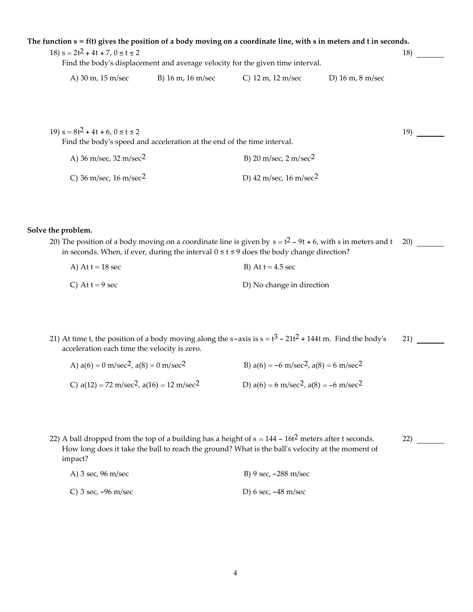| The function $s = f(t)$ gives the position of a body moving on a coordinate line, with $s$ in meters and $t$ in seconds. |                                                                                |                                        |                                       |     |
|--------------------------------------------------------------------------------------------------------------------------|--------------------------------------------------------------------------------|----------------------------------------|---------------------------------------|-----|
| 18) $s = 2t^2 + 4t + 7$ , $0 \le t \le 2$                                                                                | Find the body's displacement and average velocity for the given time interval. |                                        |                                       | 18) |
| A) 30 m, 15 m/sec                                                                                                        | B) 16 m, 16 m/sec                                                              | C) $12 \text{ m}$ , $12 \text{ m/sec}$ | D) $16 \text{ m}$ , $8 \text{ m/sec}$ |     |
|                                                                                                                          |                                                                                |                                        |                                       |     |
| 19) $s = 8t^2 + 4t + 6$ , $0 \le t \le 2$                                                                                | Find the body's speed and acceleration at the end of the time interval.        |                                        |                                       | 19) |
| A) 36 m/sec, 32 m/sec <sup>2</sup>                                                                                       |                                                                                | B) 20 m/sec, $2 \text{ m/sec}^2$       |                                       |     |

## **Solve the problem.**

| 20) The position of a body moving on a coordinate line is given by $s = t^2 - 9t + 6$ , with s in meters and t 20) |  |
|--------------------------------------------------------------------------------------------------------------------|--|
| in seconds. When, if ever, during the interval $0 \le t \le 9$ does the body change direction?                     |  |

| A) At $t = 18$ sec | B) At $t = 4.5$ sec       |
|--------------------|---------------------------|
| C) At $t = 9$ sec  | D) No change in direction |

C)  $36 \text{ m/sec}$ ,  $16 \text{ m/sec}^2$  D)  $42 \text{ m/sec}$ ,  $16 \text{ m/sec}^2$ 

21) At time t, the position of a body moving along the s-axis is  $s = t^3 - 21t^2 + 144t$  m. Find the body's acceleration each time the velocity is zero. 21)

| A) $a(6) = 0$ m/sec <sup>2</sup> , $a(8) = 0$ m/sec <sup>2</sup> | B) $a(6) = -6$ m/sec <sup>2</sup> , $a(8) = 6$ m/sec <sup>2</sup> |
|------------------------------------------------------------------|-------------------------------------------------------------------|
| C) $a(12) = 72 \text{ m/sec}^2$ , $a(16) = 12 \text{ m/sec}^2$   | D) $a(6) = 6 \text{ m/sec}^2$ , $a(8) = -6 \text{ m/sec}^2$       |

22) A ball dropped from the top of a building has a height of  $s = 144 - 16t<sup>2</sup>$  meters after t seconds. How long does it take the ball to reach the ground? What is the ball's velocity at the moment of impact? 22)

| A) 3 sec, 96 m/sec  | B) 9 sec, -288 m/sec |
|---------------------|----------------------|
| C) 3 sec, -96 m/sec | D) 6 sec, -48 m/sec  |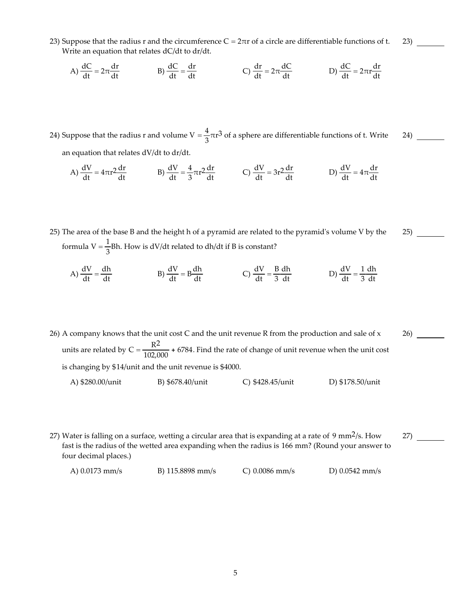23) Suppose that the radius r and the circumference  $C = 2\pi r$  of a circle are differentiable functions of t. Write an equation that relates dC/dt to dr/dt.

A) 
$$
\frac{dC}{dt} = 2\pi \frac{dr}{dt}
$$
 \t\t B)  $\frac{dC}{dt} = \frac{dr}{dt}$  \t\t C)  $\frac{dr}{dt} = 2\pi \frac{dC}{dt}$  \t\t D)  $\frac{dC}{dt} = 2\pi r \frac{dr}{dt}$ 

24) Suppose that the radius r and volume  $V = \frac{4}{3}\pi r^3$  of a sphere are differentiable functions of t. Write an equation that relates dV/dt to dr/dt.  $^{24)}$   $\frac{ }{ }$ 

A)  $\frac{dV}{dt} = 4\pi r^2 \frac{dr}{dt}$  B)  $\frac{dV}{dt} = \frac{4}{3}\pi r^2 \frac{dr}{dt}$  C)  $\frac{dV}{dt} = 3r^2 \frac{dr}{dt}$  D)  $\frac{dV}{dt} = 4\pi \frac{dr}{dt}$ dt

25) The area of the base B and the height h of a pyramid are related to the pyramidʹs volume V by the formula V =  $\frac{1}{3}$ Bh. How is dV/dt related to dh/dt if B is constant?  $^{25)}$   $\frac{ }{ }$ 

A) 
$$
\frac{dV}{dt} = \frac{dh}{dt}
$$
 \t\t B)  $\frac{dV}{dt} = B\frac{dh}{dt}$  \t\t C)  $\frac{dV}{dt} = \frac{B dh}{3 dt}$  \t\t D)  $\frac{dV}{dt} = \frac{1 dh}{3 dt}$ 

- 26) A company knows that the unit cost C and the unit revenue R from the production and sale of  $x$ units are related by  $C = \frac{R^2}{102,000} + 6784$ . Find the rate of change of unit revenue when the unit cost is changing by \$14/unit and the unit revenue is \$4000. A) \$280.00/unit B) \$678.40/unit C) \$428.45/unit D) \$178.50/unit 26)
- 27) Water is falling on a surface, wetting a circular area that is expanding at a rate of 9 mm<sup>2</sup>/s. How fast is the radius of the wetted area expanding when the radius is 166 mm? (Round your answer to four decimal places.)  $^{27)}$   $\frac{ }{ }$

| A) 0.0173 mm/s | B) $115.8898$ mm/s | $C$ ) 0.0086 mm/s | D) $0.0542$ mm/s |
|----------------|--------------------|-------------------|------------------|
|----------------|--------------------|-------------------|------------------|

 $^{23)}$  —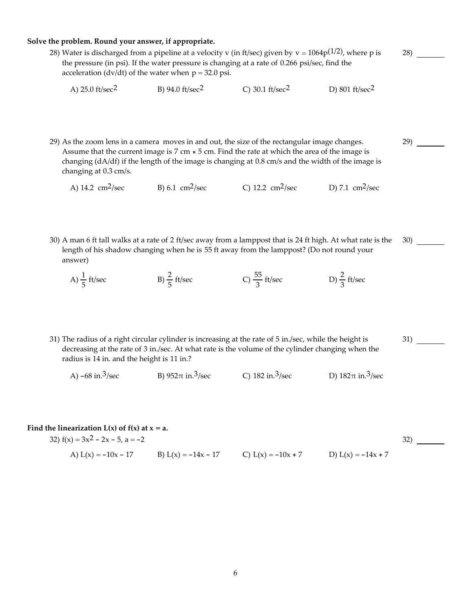### **Solve the problem. Round your answer, if appropriate.**

28) Water is discharged from a pipeline at a velocity v (in ft/sec) given by  $v = 1064p^{(1/2)}$ , where p is the pressure (in psi). If the water pressure is changing at a rate of 0.266 psi/sec, find the acceleration (dv/dt) of the water when  $p = 32.0$  psi. 28)

29)

| A) $25.0 \text{ ft/sec}^2$ | B) 94.0 $\frac{\text{ft}}{\text{sec}^2}$ | C) 30.1 $\text{ft/sec}^2$ | D) 801 ft/sec <sup>2</sup> |
|----------------------------|------------------------------------------|---------------------------|----------------------------|
|                            |                                          |                           |                            |

29) As the zoom lens in a camera moves in and out, the size of the rectangular image changes. Assume that the current image is  $7 \text{ cm} \times 5 \text{ cm}$ . Find the rate at which the area of the image is changing (dA/df) if the length of the image is changing at 0.8 cm/s and the width of the image is changing at 0.3 cm/s.

A) 14.2  $\text{cm}^2/\text{sec}$  B) 6.1  $\text{cm}^2/\text{sec}$  C) 12.2  $\text{cm}^2/\text{sec}$  D) 7.1  $\text{cm}^2/\text{sec}$ 

30) A man 6 ft tall walks at a rate of 2 ft/sec away from a lamppost that is 24 ft high. At what rate is the length of his shadow changing when he is 55 ft away from the lamppost? (Do not round your answer) 30)

- A)  $\frac{1}{5}$  ft/sec B)  $\frac{2}{5}$  ft/sec C)  $\frac{55}{3}$  ft/sec D)  $\frac{2}{3}$  ft/sec
- 31) The radius of a right circular cylinder is increasing at the rate of 5 in./sec, while the height is decreasing at the rate of 3 in./sec. At what rate is the volume of the cylinder changing when the radius is 14 in. and the height is 11 in.?  $31)$  —

A)  $-68$  in.<sup>3</sup>/sec B)  $952\pi$  in.<sup>3</sup>/sec C) 182 in.<sup>3</sup>/sec D)  $182\pi$  in.<sup>3</sup>/sec

#### **Find** the **linearization**  $L(x)$  of  $f(x)$  at  $x = a$ .

| 32) $f(x) = 3x^2 - 2x - 5$ , $a = -2$ |                       |                      |                      |  |
|---------------------------------------|-----------------------|----------------------|----------------------|--|
| A) $L(x) = -10x - 17$                 | B) $L(x) = -14x - 17$ | C) $L(x) = -10x + 7$ | D) $L(x) = -14x + 7$ |  |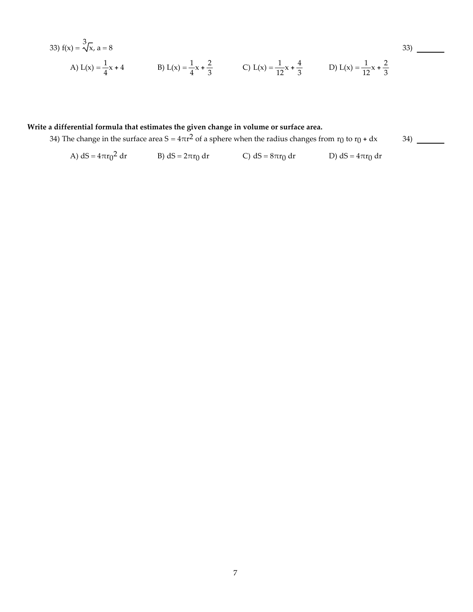33) 
$$
f(x) = \sqrt[3]{x}
$$
,  $a = 8$   
\nA)  $L(x) = \frac{1}{4}x + 4$   
\nB)  $L(x) = \frac{1}{4}x + \frac{2}{3}$   
\nC)  $L(x) = \frac{1}{12}x + \frac{4}{3}$   
\nD)  $L(x) = \frac{1}{12}x + \frac{2}{3}$ 

## **Write a differential formula that estimates the given change in volume or surface area.**

34) The change in the surface area  $S = 4\pi r^2$  of a sphere when the radius changes from  $r_0$  to  $r_0 + dx$ 

34)

A)  $dS = 4\pi r_0^2 dr$ B) dS =  $2\pi r_0$  dr C) dS =  $8\pi r_0$  dr D) dS =  $4\pi r_0$  dr